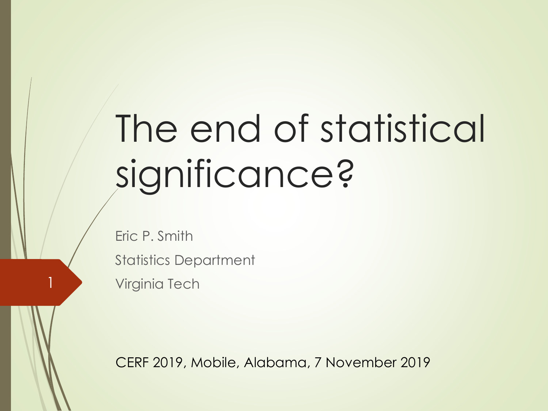# The end of statistical significance?

Eric P. Smith Statistics Department **Virginia Tech** 

CERF 2019, Mobile, Alabama, 7 November 2019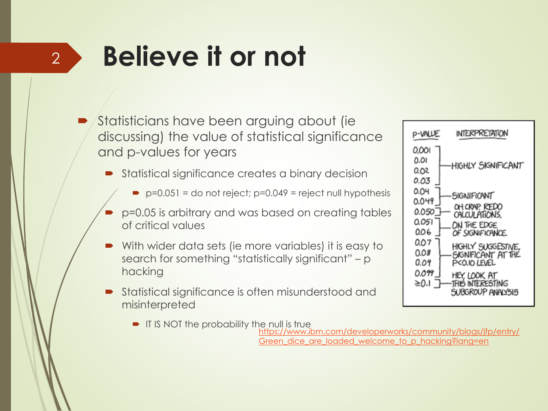# **Believe it or not**

2

- Statisticians have been arguing about (ie discussing) the value of statistical significance and p-values for years
	- Statistical significance creates a binary decision
		- $\rightarrow$  p=0.051 = do not reject; p=0.049 = reject null hypothesis
	- p=0.05 is arbitrary and was based on creating tables of critical values
	- With wider data sets (ie more variables) it is easy to search for something "statistically significant" – p hacking
	- Statistical significance is often misunderstood and misinterpreted
		- **IF IS NOT the probability the null is true**



[https://www.ibm.com/developerworks/community/blogs/jfp/entry/](https://www.ibm.com/developerworks/community/blogs/jfp/entry/Green_dice_are_loaded_welcome_to_p_hacking?lang=en) Green dice are loaded welcome to p hacking?lang=en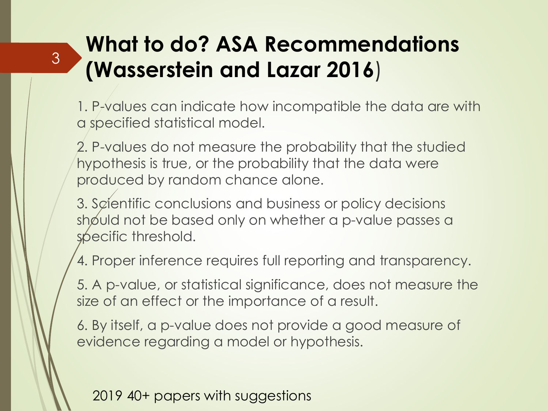### **What to do? ASA Recommendations (Wasserstein and Lazar 2016**)

1. P-values can indicate how incompatible the data are with a specified statistical model.

2. P-values do not measure the probability that the studied hypothesis is true, or the probability that the data were produced by random chance alone.

3. Scientific conclusions and business or policy decisions should not be based only on whether a p-value passes a specific threshold.

4. Proper inference requires full reporting and transparency.

5. A p-value, or statistical significance, does not measure the size of an effect or the importance of a result.

6. By itself, a p-value does not provide a good measure of evidence regarding a model or hypothesis.

2019 40+ papers with suggestions

3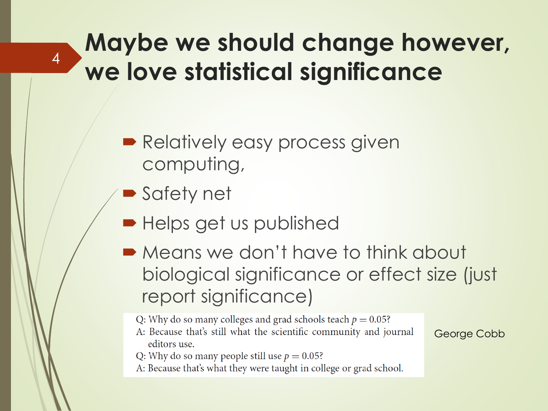### **Maybe we should change however, we love statistical significance**

- **Relatively easy process given** computing,
- **Safety net**

4

- Helps get us published
- **Means we don't have to think about** biological significance or effect size (just report significance)

Q: Why do so many colleges and grad schools teach  $p = 0.05$ ?

- A: Because that's still what the scientific community and journal editors use.
- Q: Why do so many people still use  $p = 0.05$ ?
- A: Because that's what they were taught in college or grad school.

George Cobb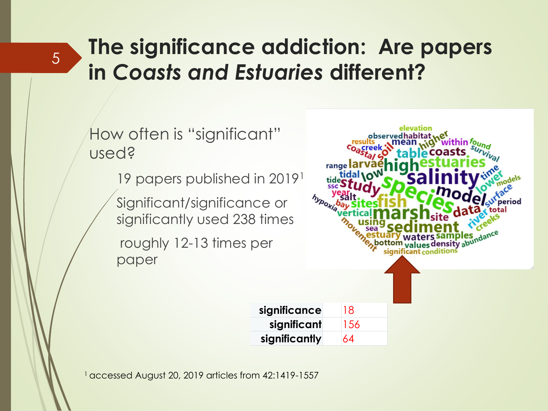### **The significance addiction: Are papers in** *Coasts and Estuaries* **different?**

How often is "significant" used?

5

19 papers published in 2019<sup>1</sup>

Significant/significance or significantly used 238 times

roughly 12-13 times per paper



1 accessed August 20, 2019 articles from 42:1419-1557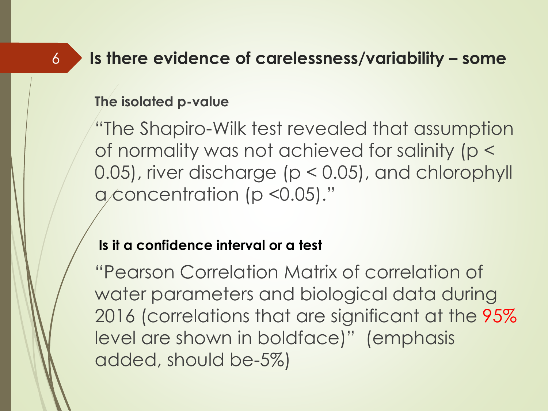#### **Is there evidence of carelessness/variability – some**

#### **The isolated p-value**

6

"The Shapiro-Wilk test revealed that assumption of normality was not achieved for salinity (p < 0.05), river discharge (p < 0.05), and chlorophyll a concentration (p < 0.05)."

#### **Is it a confidence interval or a test**

"Pearson Correlation Matrix of correlation of water parameters and biological data during 2016 (correlations that are significant at the 95% level are shown in boldface)" (emphasis added, should be-5%)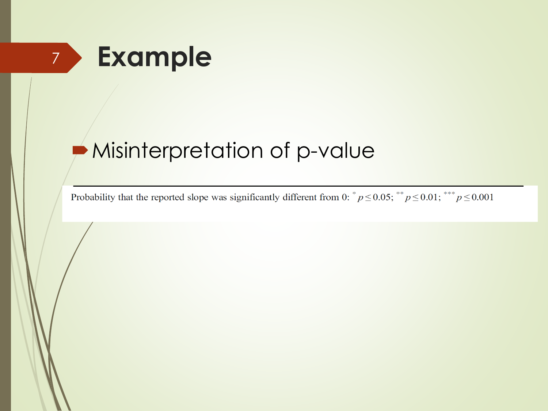

#### Misinterpretation of p-value

Probability that the reported slope was significantly different from 0:  $^{*}p \le 0.05$ ;  $^{**}p \le 0.01$ ;  $^{***}p \le 0.001$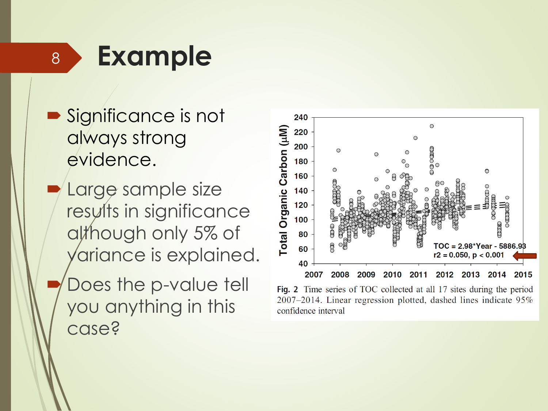**Example**

8

- Significance is not always strong evidence.
- Large sample size results in significance although only 5% of ariance is explained.
- Does the p-value tell you anything in this case?



Fig. 2 Time series of TOC collected at all 17 sites during the period  $2007-2014$ . Linear regression plotted, dashed lines indicate  $95\%$ confidence interval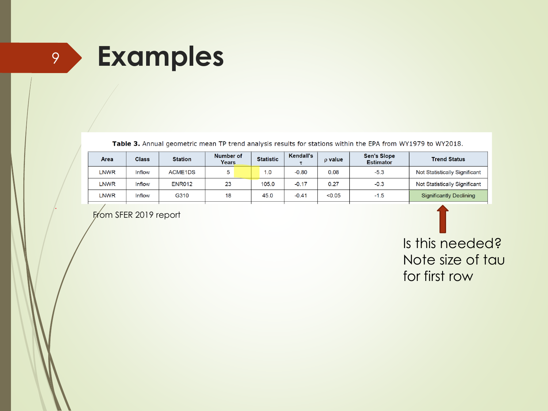# <sup>9</sup> **Examples**

Table 3. Annual geometric mean TP trend analysis results for stations within the EPA from WY1979 to WY2018.

| Area | <b>Class</b> | <b>Station</b> | Number of<br>Years | <b>Statistic</b> | Kendall's | $\rho$ value | <b>Sen's Slope</b><br><b>Estimator</b> | <b>Trend Status</b>           |  |
|------|--------------|----------------|--------------------|------------------|-----------|--------------|----------------------------------------|-------------------------------|--|
| LNWR | Inflow       | <b>ACME1DS</b> | 5                  | 1.0              | $-0.80$   | 0.08         | $-5.3$                                 | Not Statistically Significant |  |
| LNWR | Inflow       | <b>ENR012</b>  | 23                 | 105.0            | $-0.17$   | 0.27         | $-0.3$                                 | Not Statistically Significant |  |
| LNWR | Inflow       | G310           | 18                 | 45.0             | $-0.41$   | < 0.05       | $-1.5$                                 | Significantly Declining       |  |

From SFER 2019 report

Is this needed? Note size of tau for first row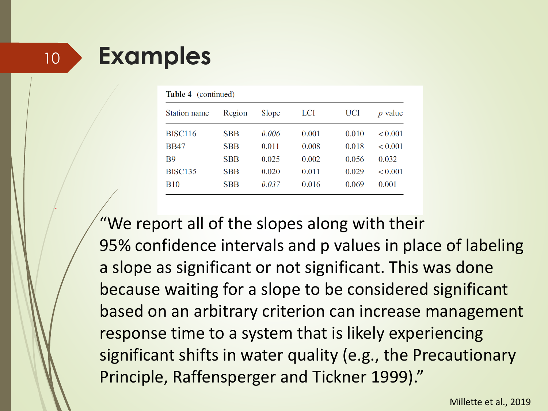### <sup>10</sup> **Examples**

| <b>Table 4</b> (continued) |            |       |       |       |                           |
|----------------------------|------------|-------|-------|-------|---------------------------|
| Station name               | Region     | Slope | LCI   | UCI   | value<br>$\boldsymbol{p}$ |
| <b>BISC116</b>             | <b>SBB</b> | 0.006 | 0.001 | 0.010 | < 0.001                   |
| <b>BB47</b>                | <b>SBB</b> | 0.011 | 0.008 | 0.018 | ${}_{0.001}$              |
| <b>B</b> 9                 | <b>SBB</b> | 0.025 | 0.002 | 0.056 | 0.032                     |
| <b>BISC135</b>             | <b>SBB</b> | 0.020 | 0.011 | 0.029 | < 0.001                   |
| <b>B</b> 10                | <b>SBB</b> | 0.037 | 0.016 | 0.069 | 0.001                     |

"We report all of the slopes along with their 95% confidence intervals and p values in place of labeling a slope as significant or not significant. This was done because waiting for a slope to be considered significant based on an arbitrary criterion can increase management response time to a system that is likely experiencing significant shifts in water quality (e.g., the Precautionary Principle, Raffensperger and Tickner 1999)."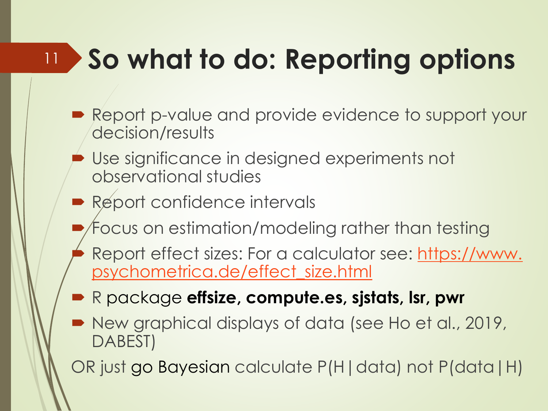#### **So what to do: Reporting options** 11

- Report p-value and provide evidence to support your decision/results
	- Use significance in designed experiments not observational studies
- Report confidence intervals
	- Focus on estimation/modeling rather than testing
	- [Report effect sizes: For a calculator see: https://www.](https://www.psychometrica.de/effect_size.html)  psychometrica.de/effect\_size.html
- R package **effsize, compute.es, sjstats, lsr, pwr**
- New graphical displays of data (see Ho et al., 2019, DABEST)
- OR just go Bayesian calculate P(H|data) not P(data|H)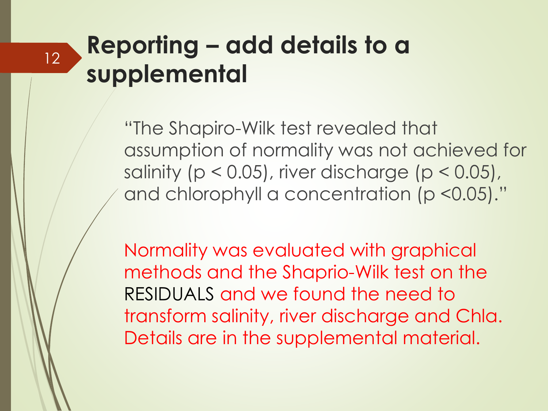### **Reporting – add details to a supplemental**

12

"The Shapiro-Wilk test revealed that assumption of normality was not achieved for salinity ( $p < 0.05$ ), river discharge ( $p < 0.05$ ), and chlorophyll a concentration (p <0.05)."

Normality was evaluated with graphical methods and the Shaprio-Wilk test on the RESIDUALS and we found the need to transform salinity, river discharge and Chla. Details are in the supplemental material.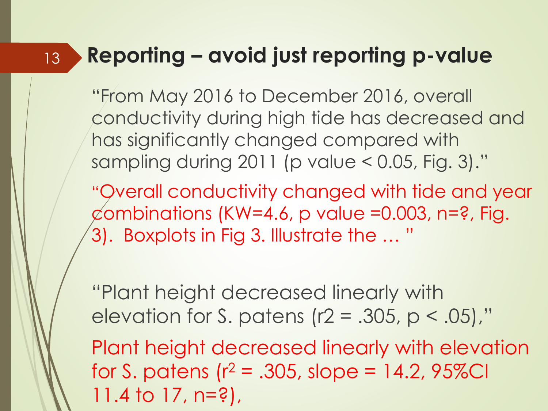#### **Reporting – avoid just reporting p-value** 13

"From May 2016 to December 2016, overall conductivity during high tide has decreased and has significantly changed compared with sampling during 2011 (p value < 0.05, Fig. 3)."

"Overall conductivity changed with tide and year  $\emptyset$ ombinations (KW=4.6, p value =0.003, n=?, Fig.  $(3)$ . Boxplots in Fig 3. Illustrate the  $\ldots$  "

"Plant height decreased linearly with elevation for S. patens ( $r2 = .305$ ,  $p < .05$ )," Plant height decreased linearly with elevation for S. patens ( $r^2$  = .305, slope = 14.2, 95%CI 11.4 to 17, n=?),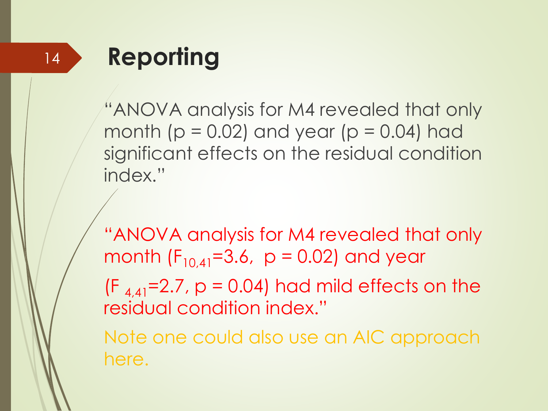# **Reporting**

"ANOVA analysis for M4 revealed that only month ( $p = 0.02$ ) and year ( $p = 0.04$ ) had significant effects on the residual condition index."

"ANOVA analysis for M4 revealed that only month  $(F_{10,41}=3.6, p = 0.02)$  and year

 $(F_{4,41}=2.7, p = 0.04)$  had mild effects on the residual condition index."

Note one could also use an AIC approach here.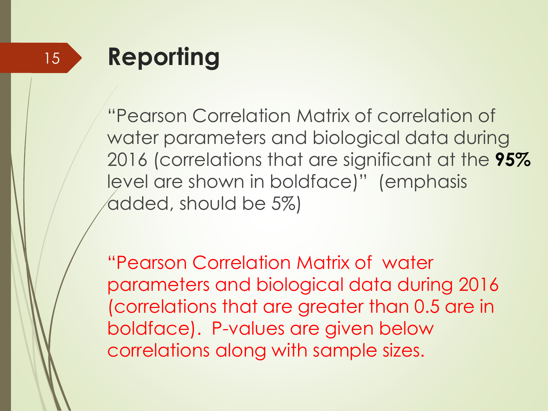# **Reporting**

"Pearson Correlation Matrix of correlation of water parameters and biological data during 2016 (correlations that are significant at the **95%** level are shown in boldface)" (emphasis added, should be 5%)

"Pearson Correlation Matrix of water parameters and biological data during 2016 (correlations that are greater than 0.5 are in boldface). P-values are given below correlations along with sample sizes.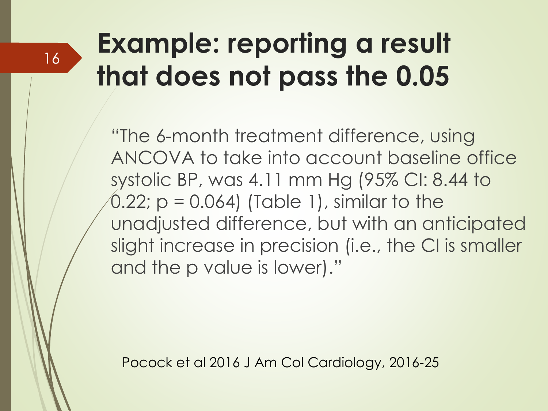# **Example: reporting a result that does not pass the 0.05**

16

"The 6-month treatment difference, using ANCOVA to take into account baseline office systolic BP, was 4.11 mm Hg (95% CI: 8.44 to  $(0.22; p = 0.064)$  (Table 1), similar to the unadjusted difference, but with an anticipated slight increase in precision (i.e., the CI is smaller and the p value is lower)."

Pocock et al 2016 J Am Col Cardiology, 2016-25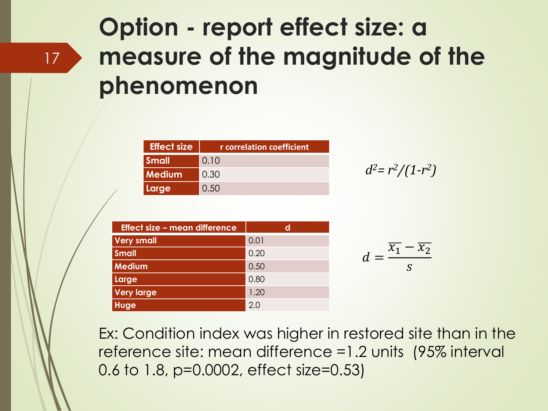### **Option - report effect size: a measure of the magnitude of the phenomenon**

| <b>Effect size</b> | r correlation coefficient |
|--------------------|---------------------------|
| <b>Small</b>       | 0.10                      |
| <b>Medium</b>      | 0.30                      |
| Large              | 0.50                      |

$$
d^2 = r^2/(1-r^2)
$$

| <b>Effect size - mean difference</b> | d    |
|--------------------------------------|------|
| <b>Very small</b>                    | 0.01 |
| <b>Small</b>                         | 0.20 |
| <b>Medium</b>                        | 0.50 |
| Large                                | 0.80 |
| <b>Very large</b>                    | 1.20 |
| Huge                                 | 2.0  |

Ex: Condition index was higher in restored site than in the reference site: mean difference =1.2 units (95% interval 0.6 to 1.8, p=0.0002, effect size=0.53)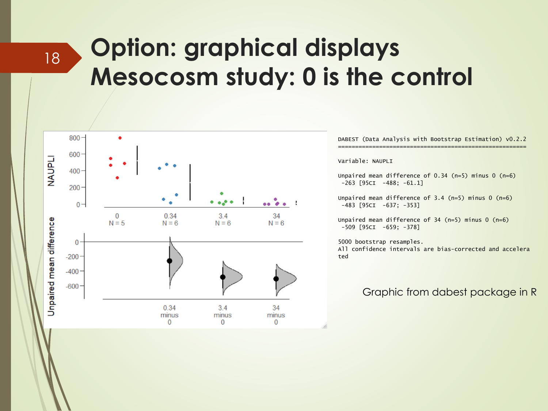### **Option: graphical displays Mesocosm study: 0 is the control**



18

DABEST (Data Analysis with Bootstrap Estimation) v0.2.2 =======================================================

Variable: NAUPLI

Unpaired mean difference of 0.34 (n=5) minus 0 (n=6)  $-263$  [95CI  $-488$ ;  $-61.1$ ]

Unpaired mean difference of  $3.4$  (n=5) minus 0 (n=6) -483 [95CI -637; -353]

Unpaired mean difference of  $34$  (n=5) minus 0 (n=6) -509 [95CI -659; -378]

5000 bootstrap resamples. All confidence intervals are bias-corrected and accelera ted

#### Graphic from dabest package in R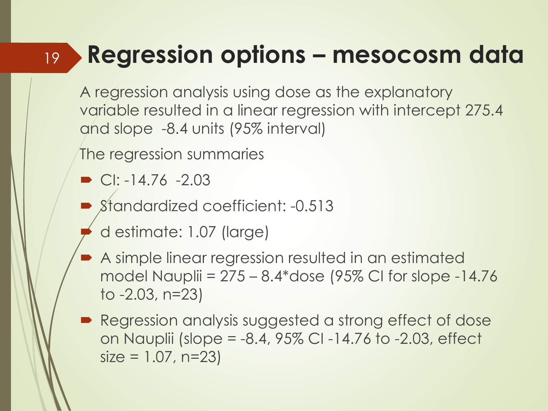#### **Regression options – mesocosm data** 19

A regression analysis using dose as the explanatory variable resulted in a linear regression with intercept 275.4 and slope -8.4 units (95% interval)

The regression summaries

- $\bullet$  CI: -14.76 -2.03
- Standardized coefficient: -0.513
- d estimate: 1.07 (large)
- A simple linear regression resulted in an estimated model Nauplii =  $275 - 8.4*$ dose (95% CI for slope  $-14.76$ to -2.03, n=23)
- Regression analysis suggested a strong effect of dose on Nauplii (slope = -8.4, 95% CI -14.76 to -2.03, effect  $size = 1.07, n=23$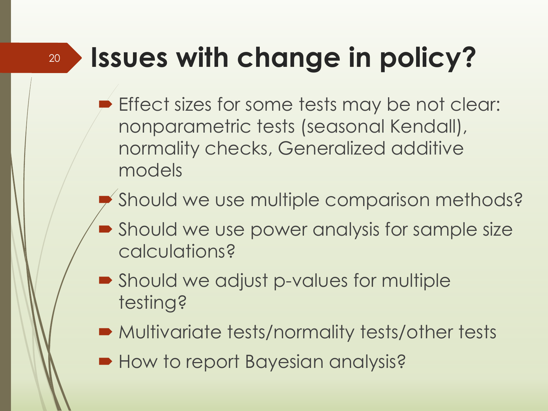# **Issues with change in policy?**

20

- Effect sizes for some tests may be not clear: nonparametric tests (seasonal Kendall), normality checks, Generalized additive models
- Should we use multiple comparison methods?
- Should we use power analysis for sample size calculations?
- Should we adjust p-values for multiple testing?
- Multivariate tests/normality tests/other tests
- **How to report Bayesian analysis?**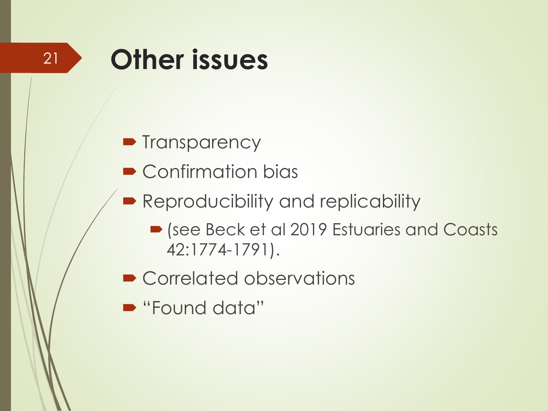# **Other issues**

21

- Transparency
- Confirmation bias
- **Reproducibility and replicability** 
	- (see Beck et al 2019 Estuaries and Coasts 42:1774-1791).
- Correlated observations
- "Found data"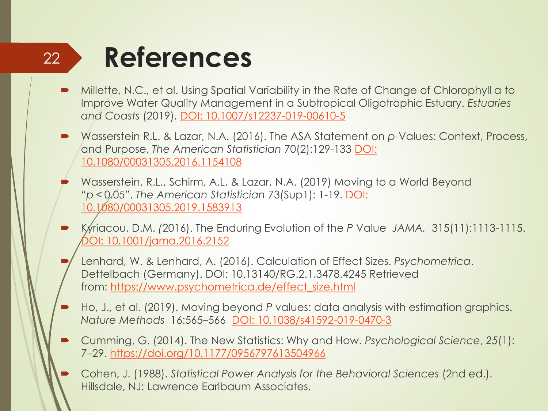#### 22

### **References**

- Millette, N.C., et al. Using Spatial Variability in the Rate of Change of Chlorophyll a to Improve Water Quality Management in a Subtropical Oligotrophic Estuary. *Estuaries and Coasts* (2019). [DOI: 10.1007/s12237-019-00610-5](https://doi.org/10.1007/s12237-019-00610-5)
- Wasserstein R.L. & Lazar, N.A. (2016). The ASA Statement on *p*-Values: Context, Process, and Purpose, *The American Statistician* 70(2):129-133 DOI: [10.1080/00031305.2016.1154108](https://doi.org/10.1080/00031305.2016.1154108)
	- Wasserstein, R.L., Schirm, A.L. & Lazar, N.A. (2019) Moving to a World Beyond "*p* < 0.05", *The American Statistician* 73(Sup1): 1-19. DOI: [10.1080/00031305.2019.1583913](https://doi.org/10.1080/00031305.2019.1583913)
- Kyriacou, D.M. *(*2016). The Enduring Evolution of the *P* Value *JAMA.* 315(11):1113-1115. [DOI: 10.1001/jama.2016.2152](https://doi.org/10.1001/jama.2016.2152)
	- Lenhard, W. & Lenhard, A. (2016). Calculation of Effect Sizes. *Psychometrica*. Dettelbach (Germany). DOI: 10.13140/RG.2.1.3478.4245 Retrieved from: [https://www.psychometrica.de/effect\\_size.html](https://www.psychometrica.de/effect_size.html)
- Ho, J., et al. (2019). Moving beyond *P* values: data analysis with estimation graphics. *Nature Methods* 16:565–566 [DOI: 10.1038/s41592-019-0470-3](https://doi.org/10.1038/s41592-019-0470-3)
- Cumming, G. (2014). The New Statistics: Why and How. *Psychological Science*, *25*(1): 7–29. <https://doi.org/10.1177/0956797613504966>
- Cohen, J. (1988). *Statistical Power Analysis for the Behavioral Sciences* (2nd ed.). Hillsdale, NJ: Lawrence Earlbaum Associates.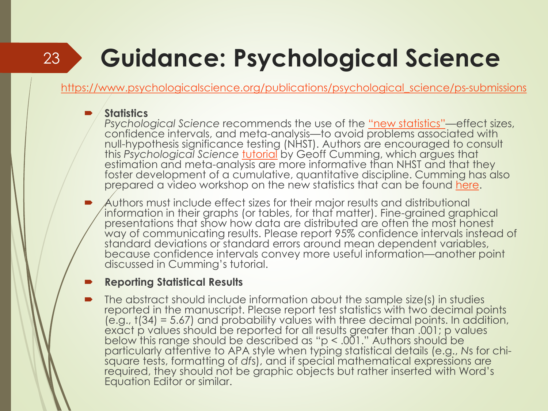### 23

# **Guidance: Psychological Science**

[https://www.psychologicalscience.org/publications/psychological\\_science/ps-submissions](https://www.psychologicalscience.org/publications/psychological_science/ps-submissions)

#### **Statistics**

*Psychological Science* recommends the use of the ["new statistics"](https://thenewstatistics.com/itns/)—effect sizes, confidence intervals, and meta-analysis—to avoid problems associated with null-hypothesis significance testing (NHST). Authors are encouraged to consult this *Psychological Science* [tutorial](http://pss.sagepub.com/content/early/2013/11/07/0956797613504966.full) by Geoff Cumming, which argues that estimation and meta-analysis are more informative than NHST and that they foster development of a cumulative, quantitative discipline. Cumming has also prepared a video workshop on the new statistics that can be found [here.](http://www.psychologicalscience.org/index.php/members/new-statistics)

 Authors must include effect sizes for their major results and distributional information in their graphs (or tables, for that matter). Fine-grained graphical presentations that show how data are distributed are often the most honest way of communicating results. Please report 95% confidence intervals instead of standard deviations or standard errors around mean dependent variables, because confidence intervals convey more useful information—another point discussed in Cumming's tutorial.

#### **Reporting Statistical Results**

 The abstract should include information about the sample size(s) in studies reported in the manuscript. Please report test statistics with two decimal points (e.g., t(34) = 5.67) and probability values with three decimal points. In addition, exact p values should be reported for all results greater than .001; p values below this range should be described as "p < .001." Authors should be particularly attentive to APA style when typing statistical details (e.g., *N*s for chisquare tests, formatting of *df*s), and if special mathematical expressions are required, they should not be graphic objects but rather inserted with Word's Equation Editor or similar.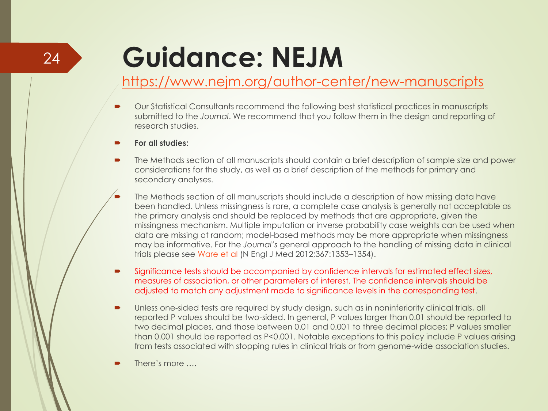# **Guidance: NEJM**

#### <https://www.nejm.org/author-center/new-manuscripts>

- Our Statistical Consultants recommend the following best statistical practices in manuscripts submitted to the *Journal*. We recommend that you follow them in the design and reporting of research studies.
- **For all studies:**
- The Methods section of all manuscripts should contain a brief description of sample size and power considerations for the study, as well as a brief description of the methods for primary and secondary analyses.
	- The Methods section of all manuscripts should include a description of how missing data have been handled. Unless missingness is rare, a complete case analysis is generally not acceptable as the primary analysis and should be replaced by methods that are appropriate, given the missingness mechanism. Multiple imputation or inverse probability case weights can be used when data are missing at random; model-based methods may be more appropriate when missingness may be informative. For the *Journal's* general approach to the handling of missing data in clinical trials please see [Ware et al](http://www.nejm.org/doi/full/10.1056/NEJMsm1210043) (N Engl J Med 2012;367:1353–1354).
- Significance tests should be accompanied by confidence intervals for estimated effect sizes, measures of association, or other parameters of interest. The confidence intervals should be adjusted to match any adjustment made to significance levels in the corresponding test.
- Unless one-sided tests are required by study design, such as in noninferiority clinical trials, all reported P values should be two-sided. In general, P values larger than 0.01 should be reported to two decimal places, and those between 0.01 and 0.001 to three decimal places; P values smaller than 0.001 should be reported as P<0.001. Notable exceptions to this policy include P values arising from tests associated with stopping rules in clinical trials or from genome-wide association studies.
- There's more